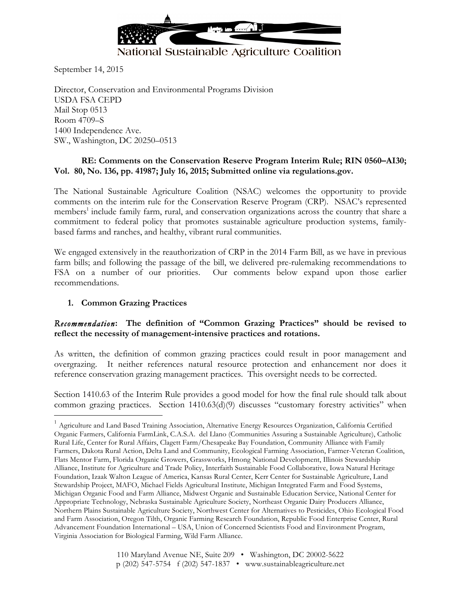

# National Sustainable Agriculture Coalition

September 14, 2015

Director, Conservation and Environmental Programs Division USDA FSA CEPD Mail Stop 0513 Room 4709–S 1400 Independence Ave. SW., Washington, DC 20250–0513

#### **RE: Comments on the Conservation Reserve Program Interim Rule; RIN 0560–AI30; Vol. 80, No. 136, pp. 41987; July 16, 2015; Submitted online via regulations.gov.**

The National Sustainable Agriculture Coalition (NSAC) welcomes the opportunity to provide comments on the interim rule for the Conservation Reserve Program (CRP). NSAC's represented members<sup>1</sup> include family farm, rural, and conservation organizations across the country that share a commitment to federal policy that promotes sustainable agriculture production systems, familybased farms and ranches, and healthy, vibrant rural communities.

We engaged extensively in the reauthorization of CRP in the 2014 Farm Bill, as we have in previous farm bills; and following the passage of the bill, we delivered pre-rulemaking recommendations to FSA on a number of our priorities. Our comments below expand upon those earlier recommendations.

#### **1. Common Grazing Practices**

#### *Recommendation***: The definition of "Common Grazing Practices" should be revised to reflect the necessity of management-intensive practices and rotations.**

As written, the definition of common grazing practices could result in poor management and overgrazing. It neither references natural resource protection and enhancement nor does it reference conservation grazing management practices. This oversight needs to be corrected.

Section 1410.63 of the Interim Rule provides a good model for how the final rule should talk about common grazing practices. Section 1410.63(d)(9) discusses "customary forestry activities" when

 $1$  Agriculture and Land Based Training Association, Alternative Energy Resources Organization, California Certified Organic Farmers, California FarmLink, C.A.S.A. del Llano (Communities Assuring a Sustainable Agriculture), Catholic Rural Life, Center for Rural Affairs, Clagett Farm/Chesapeake Bay Foundation, Community Alliance with Family Farmers, Dakota Rural Action, Delta Land and Community, Ecological Farming Association, Farmer-Veteran Coalition, Flats Mentor Farm, Florida Organic Growers, Grassworks, Hmong National Development, Illinois Stewardship Alliance, Institute for Agriculture and Trade Policy, Interfaith Sustainable Food Collaborative, Iowa Natural Heritage Foundation, Izaak Walton League of America, Kansas Rural Center, Kerr Center for Sustainable Agriculture, Land Stewardship Project, MAFO, Michael Fields Agricultural Institute, Michigan Integrated Farm and Food Systems, Michigan Organic Food and Farm Alliance, Midwest Organic and Sustainable Education Service, National Center for Appropriate Technology, Nebraska Sustainable Agriculture Society, Northeast Organic Dairy Producers Alliance, Northern Plains Sustainable Agriculture Society, Northwest Center for Alternatives to Pesticides, Ohio Ecological Food and Farm Association, Oregon Tilth, Organic Farming Research Foundation, Republic Food Enterprise Center, Rural Advancement Foundation International – USA, Union of Concerned Scientists Food and Environment Program, Virginia Association for Biological Farming, Wild Farm Alliance.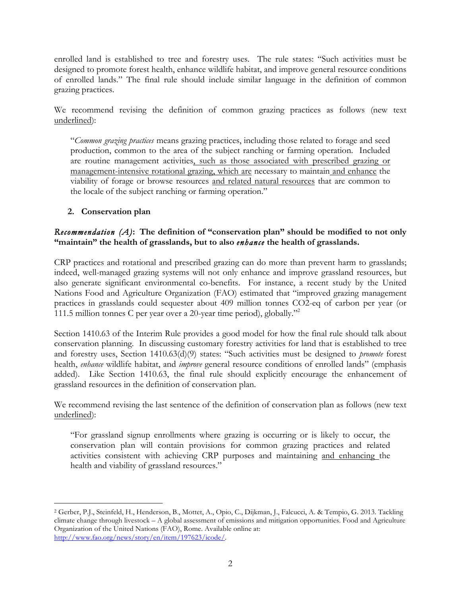enrolled land is established to tree and forestry uses. The rule states: "Such activities must be designed to promote forest health, enhance wildlife habitat, and improve general resource conditions of enrolled lands." The final rule should include similar language in the definition of common grazing practices.

We recommend revising the definition of common grazing practices as follows (new text underlined):

"*Common grazing practices* means grazing practices, including those related to forage and seed production, common to the area of the subject ranching or farming operation. Included are routine management activities, such as those associated with prescribed grazing or management-intensive rotational grazing, which are necessary to maintain and enhance the viability of forage or browse resources and related natural resources that are common to the locale of the subject ranching or farming operation."

# **2. Conservation plan**

### *Recommendation (A)***: The definition of "conservation plan" should be modified to not only "maintain" the health of grasslands, but to also** *enhance* **the health of grasslands.**

CRP practices and rotational and prescribed grazing can do more than prevent harm to grasslands; indeed, well-managed grazing systems will not only enhance and improve grassland resources, but also generate significant environmental co-benefits. For instance, a recent study by the United Nations Food and Agriculture Organization (FAO) estimated that "improved grazing management practices in grasslands could sequester about 409 million tonnes CO2-eq of carbon per year (or 111.5 million tonnes C per year over a 20-year time period), globally."2

Section 1410.63 of the Interim Rule provides a good model for how the final rule should talk about conservation planning. In discussing customary forestry activities for land that is established to tree and forestry uses, Section 1410.63(d)(9) states: "Such activities must be designed to *promote* forest health, *enhance* wildlife habitat, and *improve* general resource conditions of enrolled lands" (emphasis added). Like Section 1410.63, the final rule should explicitly encourage the enhancement of grassland resources in the definition of conservation plan.

We recommend revising the last sentence of the definition of conservation plan as follows (new text underlined):

"For grassland signup enrollments where grazing is occurring or is likely to occur, the conservation plan will contain provisions for common grazing practices and related activities consistent with achieving CRP purposes and maintaining and enhancing the health and viability of grassland resources."

 <sup>2</sup> Gerber, P.J., Steinfeld, H., Henderson, B., Mottet, A., Opio, C., Dijkman, J., Falcucci, A. & Tempio, G. 2013. Tackling climate change through livestock – A global assessment of emissions and mitigation opportunities. Food and Agriculture Organization of the United Nations (FAO), Rome. Available online at: http://www.fao.org/news/story/en/item/197623/icode/.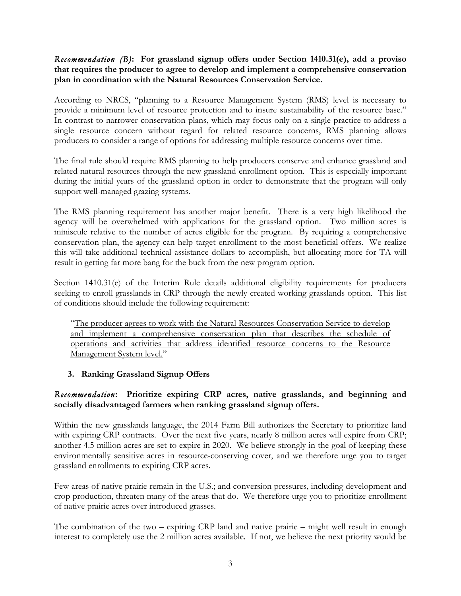#### *Recommendation (B)***: For grassland signup offers under Section 1410.31(e), add a proviso that requires the producer to agree to develop and implement a comprehensive conservation plan in coordination with the Natural Resources Conservation Service.**

According to NRCS, "planning to a Resource Management System (RMS) level is necessary to provide a minimum level of resource protection and to insure sustainability of the resource base." In contrast to narrower conservation plans, which may focus only on a single practice to address a single resource concern without regard for related resource concerns, RMS planning allows producers to consider a range of options for addressing multiple resource concerns over time.

The final rule should require RMS planning to help producers conserve and enhance grassland and related natural resources through the new grassland enrollment option. This is especially important during the initial years of the grassland option in order to demonstrate that the program will only support well-managed grazing systems.

The RMS planning requirement has another major benefit. There is a very high likelihood the agency will be overwhelmed with applications for the grassland option. Two million acres is miniscule relative to the number of acres eligible for the program. By requiring a comprehensive conservation plan, the agency can help target enrollment to the most beneficial offers. We realize this will take additional technical assistance dollars to accomplish, but allocating more for TA will result in getting far more bang for the buck from the new program option.

Section 1410.31(e) of the Interim Rule details additional eligibility requirements for producers seeking to enroll grasslands in CRP through the newly created working grasslands option. This list of conditions should include the following requirement:

"The producer agrees to work with the Natural Resources Conservation Service to develop and implement a comprehensive conservation plan that describes the schedule of operations and activities that address identified resource concerns to the Resource Management System level."

# **3. Ranking Grassland Signup Offers**

#### *Recommendation***: Prioritize expiring CRP acres, native grasslands, and beginning and socially disadvantaged farmers when ranking grassland signup offers.**

Within the new grasslands language, the 2014 Farm Bill authorizes the Secretary to prioritize land with expiring CRP contracts. Over the next five years, nearly 8 million acres will expire from CRP; another 4.5 million acres are set to expire in 2020. We believe strongly in the goal of keeping these environmentally sensitive acres in resource-conserving cover, and we therefore urge you to target grassland enrollments to expiring CRP acres.

Few areas of native prairie remain in the U.S.; and conversion pressures, including development and crop production, threaten many of the areas that do. We therefore urge you to prioritize enrollment of native prairie acres over introduced grasses.

The combination of the two – expiring CRP land and native prairie – might well result in enough interest to completely use the 2 million acres available. If not, we believe the next priority would be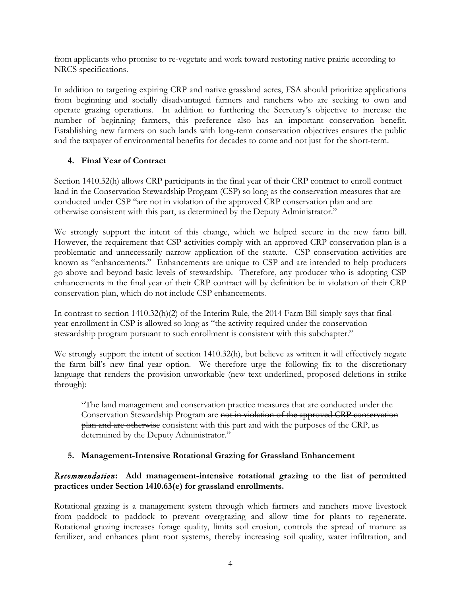from applicants who promise to re-vegetate and work toward restoring native prairie according to NRCS specifications.

In addition to targeting expiring CRP and native grassland acres, FSA should prioritize applications from beginning and socially disadvantaged farmers and ranchers who are seeking to own and operate grazing operations. In addition to furthering the Secretary's objective to increase the number of beginning farmers, this preference also has an important conservation benefit. Establishing new farmers on such lands with long-term conservation objectives ensures the public and the taxpayer of environmental benefits for decades to come and not just for the short-term.

# **4. Final Year of Contract**

Section 1410.32(h) allows CRP participants in the final year of their CRP contract to enroll contract land in the Conservation Stewardship Program (CSP) so long as the conservation measures that are conducted under CSP "are not in violation of the approved CRP conservation plan and are otherwise consistent with this part, as determined by the Deputy Administrator."

We strongly support the intent of this change, which we helped secure in the new farm bill. However, the requirement that CSP activities comply with an approved CRP conservation plan is a problematic and unnecessarily narrow application of the statute. CSP conservation activities are known as "enhancements." Enhancements are unique to CSP and are intended to help producers go above and beyond basic levels of stewardship. Therefore, any producer who is adopting CSP enhancements in the final year of their CRP contract will by definition be in violation of their CRP conservation plan, which do not include CSP enhancements.

In contrast to section 1410.32(h)(2) of the Interim Rule, the 2014 Farm Bill simply says that finalyear enrollment in CSP is allowed so long as "the activity required under the conservation stewardship program pursuant to such enrollment is consistent with this subchapter."

We strongly support the intent of section 1410.32(h), but believe as written it will effectively negate the farm bill's new final year option. We therefore urge the following fix to the discretionary language that renders the provision unworkable (new text underlined, proposed deletions in strike through):

"The land management and conservation practice measures that are conducted under the Conservation Stewardship Program are not in violation of the approved CRP conservation plan and are otherwise consistent with this part and with the purposes of the CRP, as determined by the Deputy Administrator."

# **5. Management-Intensive Rotational Grazing for Grassland Enhancement**

# *Recommendation***: Add management-intensive rotational grazing to the list of permitted practices under Section 1410.63(e) for grassland enrollments.**

Rotational grazing is a management system through which farmers and ranchers move livestock from paddock to paddock to prevent overgrazing and allow time for plants to regenerate. Rotational grazing increases forage quality, limits soil erosion, controls the spread of manure as fertilizer, and enhances plant root systems, thereby increasing soil quality, water infiltration, and